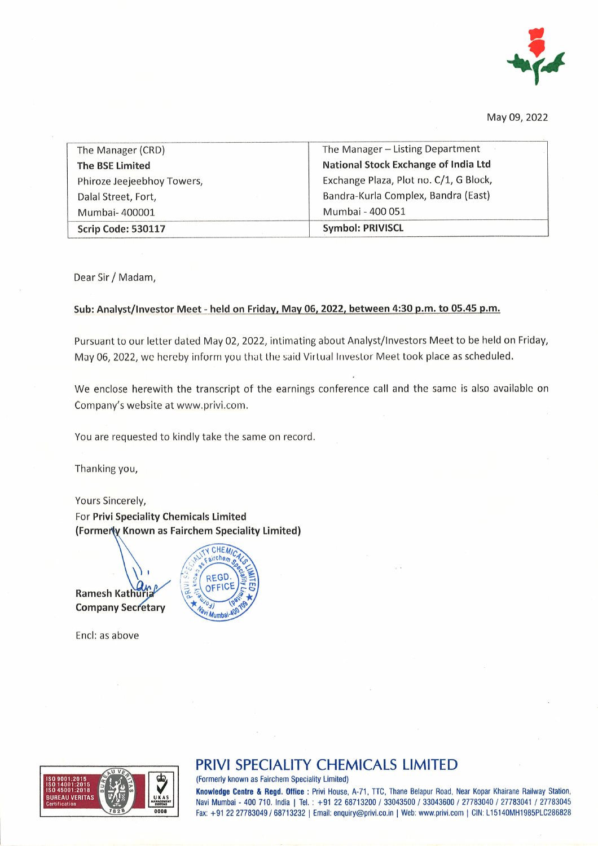

May 09,2022

| The Manager (CRD)          | The Manager - Listing Department       |
|----------------------------|----------------------------------------|
| The BSE Limited            | National Stock Exchange of India Ltd   |
| Phiroze Jeejeebhoy Towers, | Exchange Plaza, Plot no. C/1, G Block, |
| Dalal Street, Fort,        | Bandra-Kurla Complex, Bandra (East)    |
| Mumbai-400001              | Mumbai - 400 051                       |
| Scrip Code: 530117         | <b>Symbol: PRIVISCL</b>                |

Dear Sir / Madam,

#### Sub: Analyst/Investor Meet - held on Friday, May 06, 2022, between 4:30 p.m. to 05.45 p.m.

Pursuant to our letter dated May 02, 2022, intimating about Analyst/lnvestors Meet to be held on Friday, May 06, 2022, we hereby inform you that the said Virtual Investor Meet took place as scheduled.

We enclose herewith the transcript of the earnings conference call and the same is also available on Company's website at www.privi.com.

You are requested to kindly take the same on record.

Thanking you,

Yours Sincerely, For Privi Speciality Chemicals Limited (Formerly Known as Fairchem Speciality Limited)



Encl: as above





### PRIVI SPECIALITY CHEMICALS LIMITED

(Formerly known as Fairchem Speciality Limited)

Knowledge Centre & Regd. Office: Privi House, A-71, TTC, Thane Belapur Road, Near Kopar Khairane Railway Station, Navi Mumbai - 400 710. India | Tel.: +91 22 68713200 / 33043500 / 33043600 / 27783040 / 27783041 / 27783045 Fax: +91 22 27783049 / 68713232 | Email: enquiry@privi.co.in | Web: www.privi.com | CIN: L15140MH1985PLC286828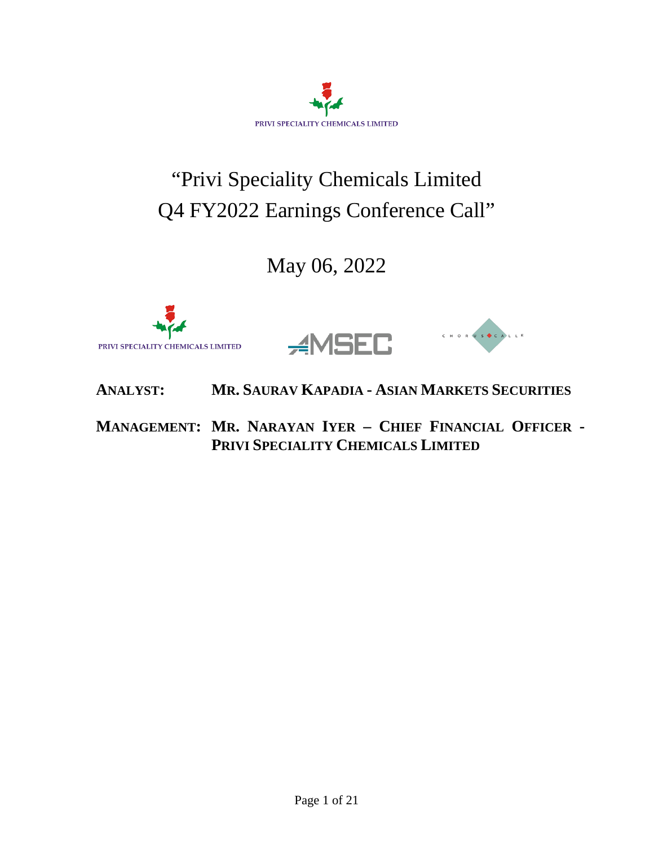

# "Privi Speciality Chemicals Limited Q4 FY2022 Earnings Conference Call"

## May 06, 2022





## **ANALYST: MR. SAURAV KAPADIA - ASIAN MARKETS SECURITIES**

## **MANAGEMENT: MR. NARAYAN IYER – CHIEF FINANCIAL OFFICER - PRIVI SPECIALITY CHEMICALS LIMITED**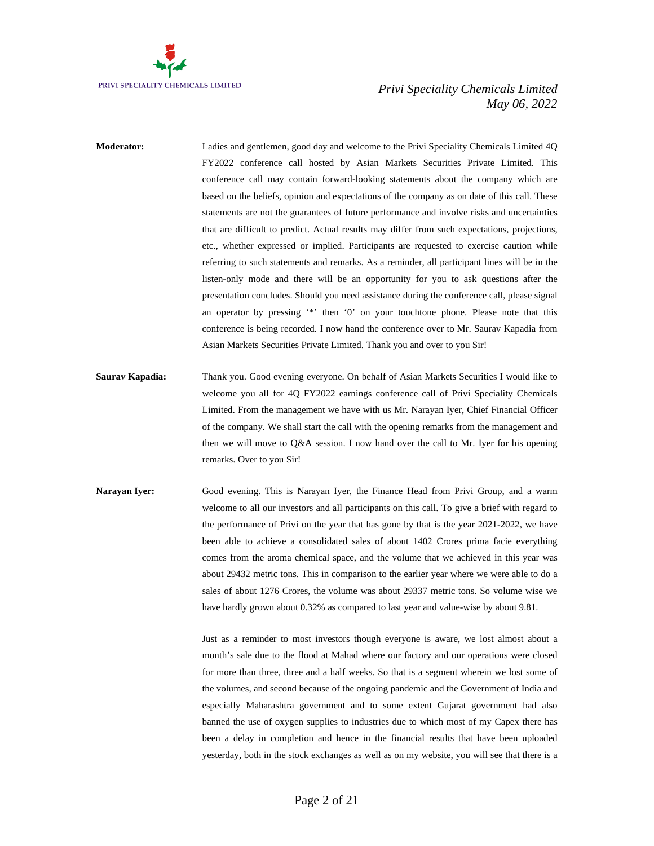

- **Moderator:** Ladies and gentlemen, good day and welcome to the Privi Speciality Chemicals Limited 4Q FY2022 conference call hosted by Asian Markets Securities Private Limited. This conference call may contain forward-looking statements about the company which are based on the beliefs, opinion and expectations of the company as on date of this call. These statements are not the guarantees of future performance and involve risks and uncertainties that are difficult to predict. Actual results may differ from such expectations, projections, etc., whether expressed or implied. Participants are requested to exercise caution while referring to such statements and remarks. As a reminder, all participant lines will be in the listen-only mode and there will be an opportunity for you to ask questions after the presentation concludes. Should you need assistance during the conference call, please signal an operator by pressing '\*' then '0' on your touchtone phone. Please note that this conference is being recorded. I now hand the conference over to Mr. Saurav Kapadia from Asian Markets Securities Private Limited. Thank you and over to you Sir!
- **Saurav Kapadia:** Thank you. Good evening everyone. On behalf of Asian Markets Securities I would like to welcome you all for 4Q FY2022 earnings conference call of Privi Speciality Chemicals Limited. From the management we have with us Mr. Narayan Iyer, Chief Financial Officer of the company. We shall start the call with the opening remarks from the management and then we will move to Q&A session. I now hand over the call to Mr. Iyer for his opening remarks. Over to you Sir!
- **Narayan Iyer:** Good evening. This is Narayan Iyer, the Finance Head from Privi Group, and a warm welcome to all our investors and all participants on this call. To give a brief with regard to the performance of Privi on the year that has gone by that is the year 2021-2022, we have been able to achieve a consolidated sales of about 1402 Crores prima facie everything comes from the aroma chemical space, and the volume that we achieved in this year was about 29432 metric tons. This in comparison to the earlier year where we were able to do a sales of about 1276 Crores, the volume was about 29337 metric tons. So volume wise we have hardly grown about 0.32% as compared to last year and value-wise by about 9.81.

Just as a reminder to most investors though everyone is aware, we lost almost about a month's sale due to the flood at Mahad where our factory and our operations were closed for more than three, three and a half weeks. So that is a segment wherein we lost some of the volumes, and second because of the ongoing pandemic and the Government of India and especially Maharashtra government and to some extent Gujarat government had also banned the use of oxygen supplies to industries due to which most of my Capex there has been a delay in completion and hence in the financial results that have been uploaded yesterday, both in the stock exchanges as well as on my website, you will see that there is a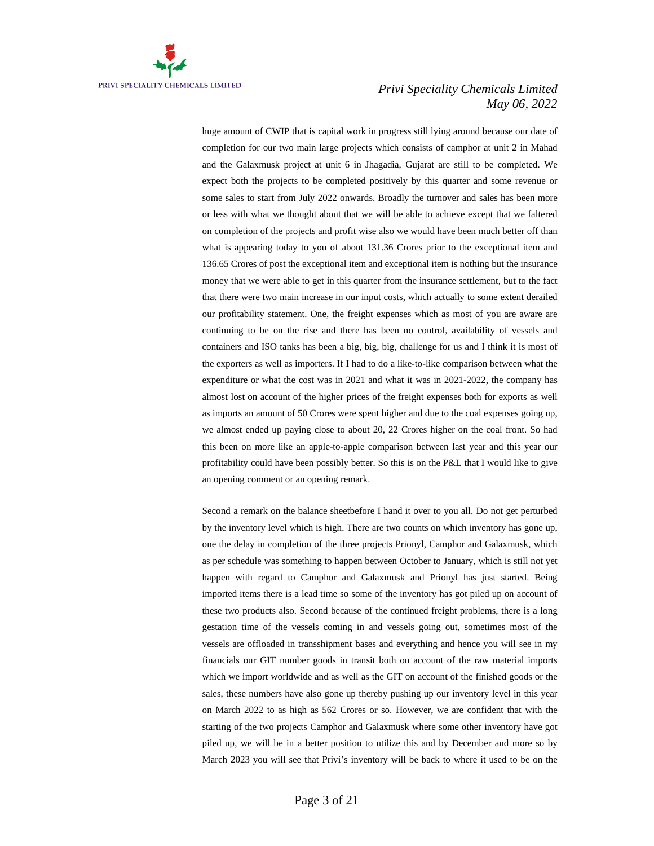

huge amount of CWIP that is capital work in progress still lying around because our date of completion for our two main large projects which consists of camphor at unit 2 in Mahad and the Galaxmusk project at unit 6 in Jhagadia, Gujarat are still to be completed. We expect both the projects to be completed positively by this quarter and some revenue or some sales to start from July 2022 onwards. Broadly the turnover and sales has been more or less with what we thought about that we will be able to achieve except that we faltered on completion of the projects and profit wise also we would have been much better off than what is appearing today to you of about 131.36 Crores prior to the exceptional item and 136.65 Crores of post the exceptional item and exceptional item is nothing but the insurance money that we were able to get in this quarter from the insurance settlement, but to the fact that there were two main increase in our input costs, which actually to some extent derailed our profitability statement. One, the freight expenses which as most of you are aware are continuing to be on the rise and there has been no control, availability of vessels and containers and ISO tanks has been a big, big, big, challenge for us and I think it is most of the exporters as well as importers. If I had to do a like-to-like comparison between what the expenditure or what the cost was in 2021 and what it was in 2021-2022, the company has almost lost on account of the higher prices of the freight expenses both for exports as well as imports an amount of 50 Crores were spent higher and due to the coal expenses going up, we almost ended up paying close to about 20, 22 Crores higher on the coal front. So had this been on more like an apple-to-apple comparison between last year and this year our profitability could have been possibly better. So this is on the P&L that I would like to give an opening comment or an opening remark.

Second a remark on the balance sheetbefore I hand it over to you all. Do not get perturbed by the inventory level which is high. There are two counts on which inventory has gone up, one the delay in completion of the three projects Prionyl, Camphor and Galaxmusk, which as per schedule was something to happen between October to January, which is still not yet happen with regard to Camphor and Galaxmusk and Prionyl has just started. Being imported items there is a lead time so some of the inventory has got piled up on account of these two products also. Second because of the continued freight problems, there is a long gestation time of the vessels coming in and vessels going out, sometimes most of the vessels are offloaded in transshipment bases and everything and hence you will see in my financials our GIT number goods in transit both on account of the raw material imports which we import worldwide and as well as the GIT on account of the finished goods or the sales, these numbers have also gone up thereby pushing up our inventory level in this year on March 2022 to as high as 562 Crores or so. However, we are confident that with the starting of the two projects Camphor and Galaxmusk where some other inventory have got piled up, we will be in a better position to utilize this and by December and more so by March 2023 you will see that Privi's inventory will be back to where it used to be on the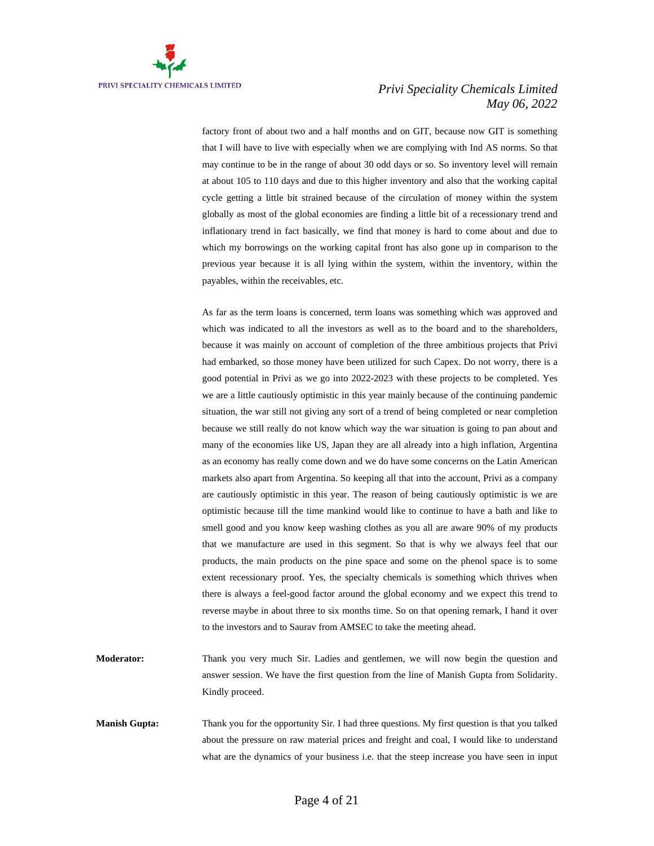

factory front of about two and a half months and on GIT, because now GIT is something that I will have to live with especially when we are complying with Ind AS norms. So that may continue to be in the range of about 30 odd days or so. So inventory level will remain at about 105 to 110 days and due to this higher inventory and also that the working capital cycle getting a little bit strained because of the circulation of money within the system globally as most of the global economies are finding a little bit of a recessionary trend and inflationary trend in fact basically, we find that money is hard to come about and due to which my borrowings on the working capital front has also gone up in comparison to the previous year because it is all lying within the system, within the inventory, within the payables, within the receivables, etc.

As far as the term loans is concerned, term loans was something which was approved and which was indicated to all the investors as well as to the board and to the shareholders, because it was mainly on account of completion of the three ambitious projects that Privi had embarked, so those money have been utilized for such Capex. Do not worry, there is a good potential in Privi as we go into 2022-2023 with these projects to be completed. Yes we are a little cautiously optimistic in this year mainly because of the continuing pandemic situation, the war still not giving any sort of a trend of being completed or near completion because we still really do not know which way the war situation is going to pan about and many of the economies like US, Japan they are all already into a high inflation, Argentina as an economy has really come down and we do have some concerns on the Latin American markets also apart from Argentina. So keeping all that into the account, Privi as a company are cautiously optimistic in this year. The reason of being cautiously optimistic is we are optimistic because till the time mankind would like to continue to have a bath and like to smell good and you know keep washing clothes as you all are aware 90% of my products that we manufacture are used in this segment. So that is why we always feel that our products, the main products on the pine space and some on the phenol space is to some extent recessionary proof. Yes, the specialty chemicals is something which thrives when there is always a feel-good factor around the global economy and we expect this trend to reverse maybe in about three to six months time. So on that opening remark, I hand it over to the investors and to Saurav from AMSEC to take the meeting ahead.

- **Moderator:** Thank you very much Sir. Ladies and gentlemen, we will now begin the question and answer session. We have the first question from the line of Manish Gupta from Solidarity. Kindly proceed.
- **Manish Gupta:** Thank you for the opportunity Sir. I had three questions. My first question is that you talked about the pressure on raw material prices and freight and coal, I would like to understand what are the dynamics of your business i.e. that the steep increase you have seen in input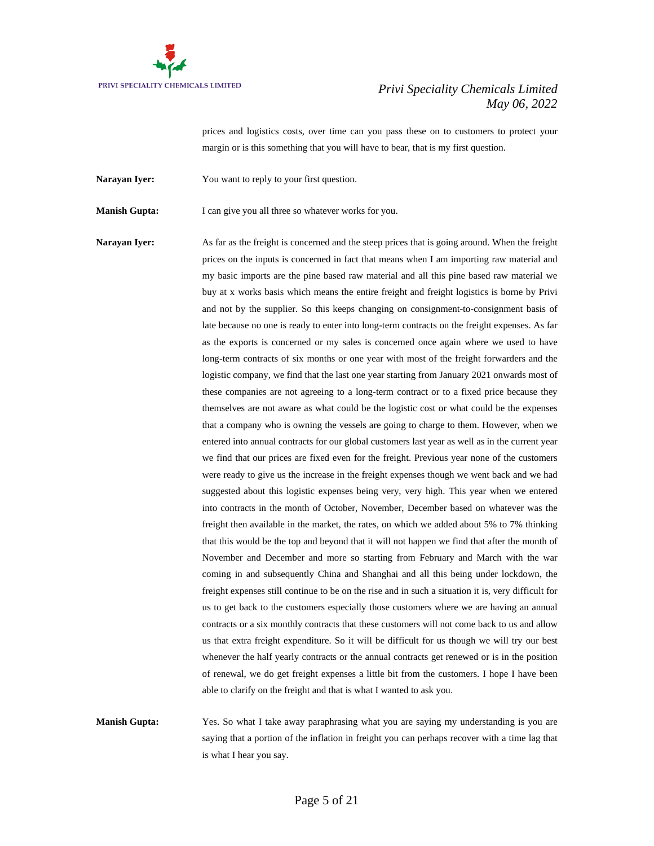

prices and logistics costs, over time can you pass these on to customers to protect your margin or is this something that you will have to bear, that is my first question.

Narayan Iyer: You want to reply to your first question.

**Manish Gupta:** I can give you all three so whatever works for you.

**Narayan Iyer:** As far as the freight is concerned and the steep prices that is going around. When the freight prices on the inputs is concerned in fact that means when I am importing raw material and my basic imports are the pine based raw material and all this pine based raw material we buy at x works basis which means the entire freight and freight logistics is borne by Privi and not by the supplier. So this keeps changing on consignment-to-consignment basis of late because no one is ready to enter into long-term contracts on the freight expenses. As far as the exports is concerned or my sales is concerned once again where we used to have long-term contracts of six months or one year with most of the freight forwarders and the logistic company, we find that the last one year starting from January 2021 onwards most of these companies are not agreeing to a long-term contract or to a fixed price because they themselves are not aware as what could be the logistic cost or what could be the expenses that a company who is owning the vessels are going to charge to them. However, when we entered into annual contracts for our global customers last year as well as in the current year we find that our prices are fixed even for the freight. Previous year none of the customers were ready to give us the increase in the freight expenses though we went back and we had suggested about this logistic expenses being very, very high. This year when we entered into contracts in the month of October, November, December based on whatever was the freight then available in the market, the rates, on which we added about 5% to 7% thinking that this would be the top and beyond that it will not happen we find that after the month of November and December and more so starting from February and March with the war coming in and subsequently China and Shanghai and all this being under lockdown, the freight expenses still continue to be on the rise and in such a situation it is, very difficult for us to get back to the customers especially those customers where we are having an annual contracts or a six monthly contracts that these customers will not come back to us and allow us that extra freight expenditure. So it will be difficult for us though we will try our best whenever the half yearly contracts or the annual contracts get renewed or is in the position of renewal, we do get freight expenses a little bit from the customers. I hope I have been able to clarify on the freight and that is what I wanted to ask you.

**Manish Gupta:** Yes. So what I take away paraphrasing what you are saying my understanding is you are saying that a portion of the inflation in freight you can perhaps recover with a time lag that is what I hear you say.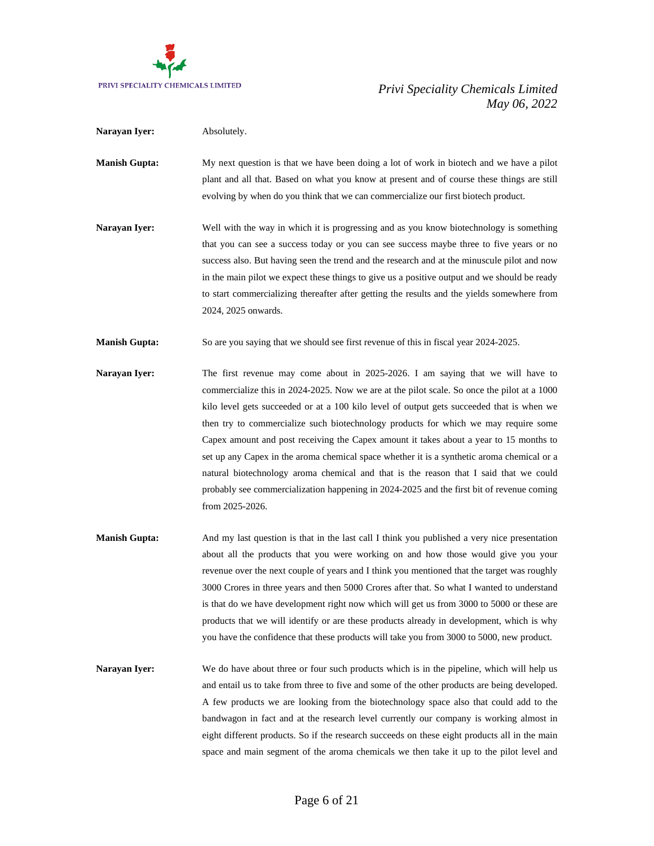

| Narayan Iyer:        | Absolutely.                                                                                                                                                                                                                                                                                                                                                                                                                                                                                                                                                                                                                                                                                                                                                         |
|----------------------|---------------------------------------------------------------------------------------------------------------------------------------------------------------------------------------------------------------------------------------------------------------------------------------------------------------------------------------------------------------------------------------------------------------------------------------------------------------------------------------------------------------------------------------------------------------------------------------------------------------------------------------------------------------------------------------------------------------------------------------------------------------------|
| <b>Manish Gupta:</b> | My next question is that we have been doing a lot of work in biotech and we have a pilot<br>plant and all that. Based on what you know at present and of course these things are still<br>evolving by when do you think that we can commercialize our first biotech product.                                                                                                                                                                                                                                                                                                                                                                                                                                                                                        |
| Narayan Iyer:        | Well with the way in which it is progressing and as you know biotechnology is something<br>that you can see a success today or you can see success maybe three to five years or no<br>success also. But having seen the trend and the research and at the minuscule pilot and now<br>in the main pilot we expect these things to give us a positive output and we should be ready<br>to start commercializing thereafter after getting the results and the yields somewhere from<br>2024, 2025 onwards.                                                                                                                                                                                                                                                             |
| <b>Manish Gupta:</b> | So are you saying that we should see first revenue of this in fiscal year 2024-2025.                                                                                                                                                                                                                                                                                                                                                                                                                                                                                                                                                                                                                                                                                |
| Narayan Iyer:        | The first revenue may come about in 2025-2026. I am saying that we will have to<br>commercialize this in 2024-2025. Now we are at the pilot scale. So once the pilot at a 1000<br>kilo level gets succeeded or at a 100 kilo level of output gets succeeded that is when we<br>then try to commercialize such biotechnology products for which we may require some<br>Capex amount and post receiving the Capex amount it takes about a year to 15 months to<br>set up any Capex in the aroma chemical space whether it is a synthetic aroma chemical or a<br>natural biotechnology aroma chemical and that is the reason that I said that we could<br>probably see commercialization happening in 2024-2025 and the first bit of revenue coming<br>from 2025-2026. |
| <b>Manish Gupta:</b> | And my last question is that in the last call I think you published a very nice presentation<br>about all the products that you were working on and how those would give you your<br>revenue over the next couple of years and I think you mentioned that the target was roughly                                                                                                                                                                                                                                                                                                                                                                                                                                                                                    |

- revenue over the next couple of years and I think you mentioned that the target was roughly 3000 Crores in three years and then 5000 Crores after that. So what I wanted to understand is that do we have development right now which will get us from 3000 to 5000 or these are products that we will identify or are these products already in development, which is why you have the confidence that these products will take you from 3000 to 5000, new product.
- **Narayan Iyer:** We do have about three or four such products which is in the pipeline, which will help us and entail us to take from three to five and some of the other products are being developed. A few products we are looking from the biotechnology space also that could add to the bandwagon in fact and at the research level currently our company is working almost in eight different products. So if the research succeeds on these eight products all in the main space and main segment of the aroma chemicals we then take it up to the pilot level and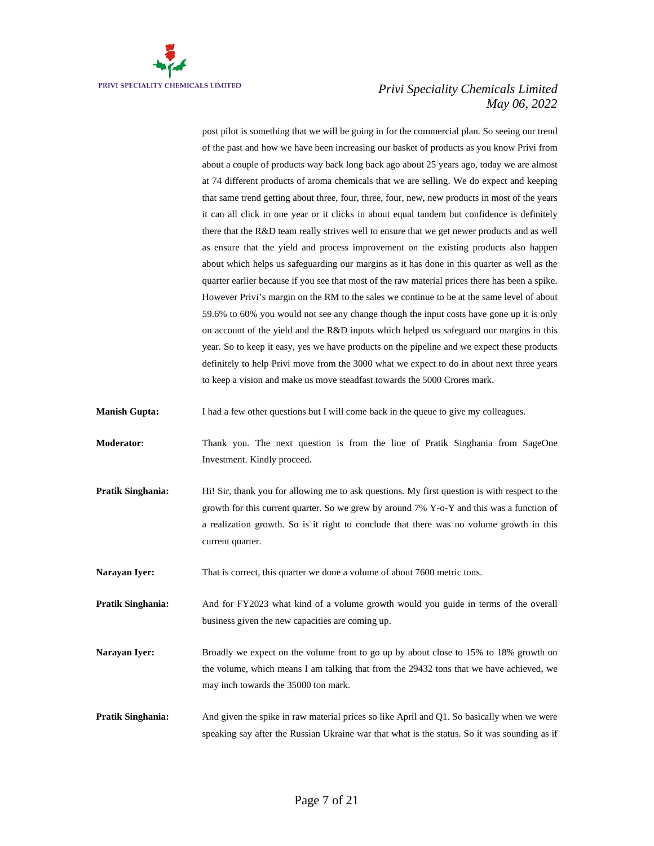

post pilot is something that we will be going in for the commercial plan. So seeing our trend of the past and how we have been increasing our basket of products as you know Privi from about a couple of products way back long back ago about 25 years ago, today we are almost at 74 different products of aroma chemicals that we are selling. We do expect and keeping that same trend getting about three, four, three, four, new, new products in most of the years it can all click in one year or it clicks in about equal tandem but confidence is definitely there that the R&D team really strives well to ensure that we get newer products and as well as ensure that the yield and process improvement on the existing products also happen about which helps us safeguarding our margins as it has done in this quarter as well as the quarter earlier because if you see that most of the raw material prices there has been a spike. However Privi's margin on the RM to the sales we continue to be at the same level of about 59.6% to 60% you would not see any change though the input costs have gone up it is only on account of the yield and the R&D inputs which helped us safeguard our margins in this year. So to keep it easy, yes we have products on the pipeline and we expect these products definitely to help Privi move from the 3000 what we expect to do in about next three years to keep a vision and make us move steadfast towards the 5000 Crores mark.

**Manish Gupta:** I had a few other questions but I will come back in the queue to give my colleagues.

- **Moderator:** Thank you. The next question is from the line of Pratik Singhania from SageOne Investment. Kindly proceed.
- **Pratik Singhania:** Hi! Sir, thank you for allowing me to ask questions. My first question is with respect to the growth for this current quarter. So we grew by around 7% Y-o-Y and this was a function of a realization growth. So is it right to conclude that there was no volume growth in this current quarter.

**Narayan Iyer:** That is correct, this quarter we done a volume of about 7600 metric tons.

**Pratik Singhania:** And for FY2023 what kind of a volume growth would you guide in terms of the overall business given the new capacities are coming up.

- Narayan Iyer: Broadly we expect on the volume front to go up by about close to 15% to 18% growth on the volume, which means I am talking that from the 29432 tons that we have achieved, we may inch towards the 35000 ton mark.
- **Pratik Singhania:** And given the spike in raw material prices so like April and Q1. So basically when we were speaking say after the Russian Ukraine war that what is the status. So it was sounding as if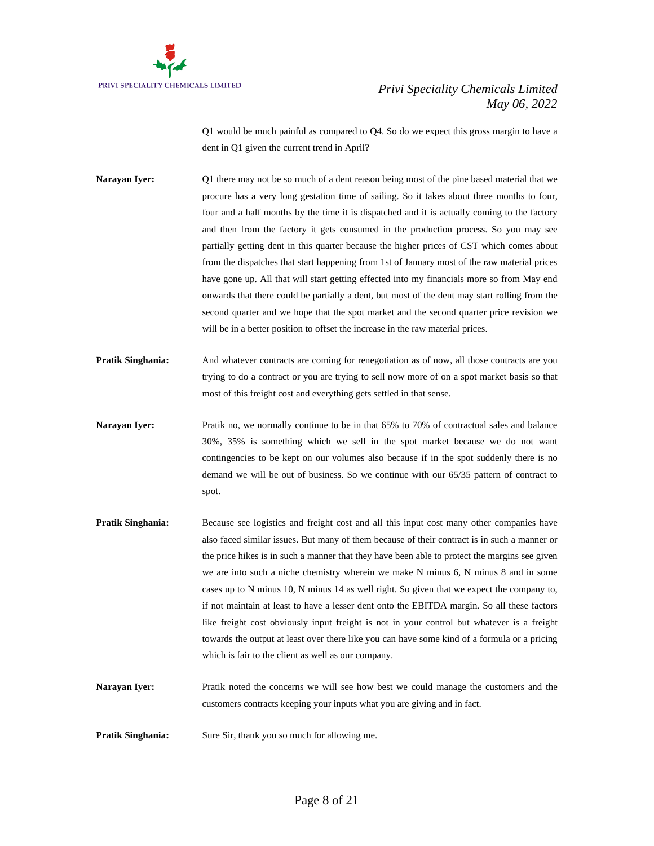

Q1 would be much painful as compared to Q4. So do we expect this gross margin to have a dent in Q1 given the current trend in April?

**Narayan Iyer:** Q1 there may not be so much of a dent reason being most of the pine based material that we procure has a very long gestation time of sailing. So it takes about three months to four, four and a half months by the time it is dispatched and it is actually coming to the factory and then from the factory it gets consumed in the production process. So you may see partially getting dent in this quarter because the higher prices of CST which comes about from the dispatches that start happening from 1st of January most of the raw material prices have gone up. All that will start getting effected into my financials more so from May end onwards that there could be partially a dent, but most of the dent may start rolling from the second quarter and we hope that the spot market and the second quarter price revision we will be in a better position to offset the increase in the raw material prices.

- **Pratik Singhania:** And whatever contracts are coming for renegotiation as of now, all those contracts are you trying to do a contract or you are trying to sell now more of on a spot market basis so that most of this freight cost and everything gets settled in that sense.
- **Narayan Iver:** Pratik no, we normally continue to be in that 65% to 70% of contractual sales and balance 30%, 35% is something which we sell in the spot market because we do not want contingencies to be kept on our volumes also because if in the spot suddenly there is no demand we will be out of business. So we continue with our 65/35 pattern of contract to spot.
- **Pratik Singhania:** Because see logistics and freight cost and all this input cost many other companies have also faced similar issues. But many of them because of their contract is in such a manner or the price hikes is in such a manner that they have been able to protect the margins see given we are into such a niche chemistry wherein we make N minus 6, N minus 8 and in some cases up to N minus 10, N minus 14 as well right. So given that we expect the company to, if not maintain at least to have a lesser dent onto the EBITDA margin. So all these factors like freight cost obviously input freight is not in your control but whatever is a freight towards the output at least over there like you can have some kind of a formula or a pricing which is fair to the client as well as our company.
- **Narayan Iyer:** Pratik noted the concerns we will see how best we could manage the customers and the customers contracts keeping your inputs what you are giving and in fact.

**Pratik Singhania:** Sure Sir, thank you so much for allowing me.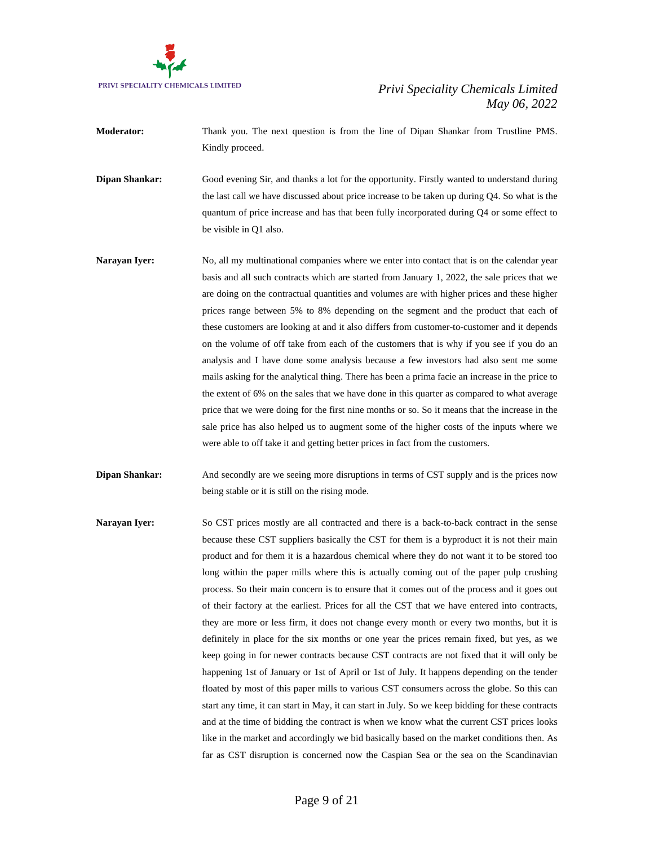

- **Moderator:** Thank you. The next question is from the line of Dipan Shankar from Trustline PMS. Kindly proceed.
- **Dipan Shankar:** Good evening Sir, and thanks a lot for the opportunity. Firstly wanted to understand during the last call we have discussed about price increase to be taken up during Q4. So what is the quantum of price increase and has that been fully incorporated during Q4 or some effect to be visible in Q1 also.
- Narayan Iyer: No, all my multinational companies where we enter into contact that is on the calendar year basis and all such contracts which are started from January 1, 2022, the sale prices that we are doing on the contractual quantities and volumes are with higher prices and these higher prices range between 5% to 8% depending on the segment and the product that each of these customers are looking at and it also differs from customer-to-customer and it depends on the volume of off take from each of the customers that is why if you see if you do an analysis and I have done some analysis because a few investors had also sent me some mails asking for the analytical thing. There has been a prima facie an increase in the price to the extent of 6% on the sales that we have done in this quarter as compared to what average price that we were doing for the first nine months or so. So it means that the increase in the sale price has also helped us to augment some of the higher costs of the inputs where we were able to off take it and getting better prices in fact from the customers.
- **Dipan Shankar:** And secondly are we seeing more disruptions in terms of CST supply and is the prices now being stable or it is still on the rising mode.
- **Narayan Iyer:** So CST prices mostly are all contracted and there is a back-to-back contract in the sense because these CST suppliers basically the CST for them is a byproduct it is not their main product and for them it is a hazardous chemical where they do not want it to be stored too long within the paper mills where this is actually coming out of the paper pulp crushing process. So their main concern is to ensure that it comes out of the process and it goes out of their factory at the earliest. Prices for all the CST that we have entered into contracts, they are more or less firm, it does not change every month or every two months, but it is definitely in place for the six months or one year the prices remain fixed, but yes, as we keep going in for newer contracts because CST contracts are not fixed that it will only be happening 1st of January or 1st of April or 1st of July. It happens depending on the tender floated by most of this paper mills to various CST consumers across the globe. So this can start any time, it can start in May, it can start in July. So we keep bidding for these contracts and at the time of bidding the contract is when we know what the current CST prices looks like in the market and accordingly we bid basically based on the market conditions then. As far as CST disruption is concerned now the Caspian Sea or the sea on the Scandinavian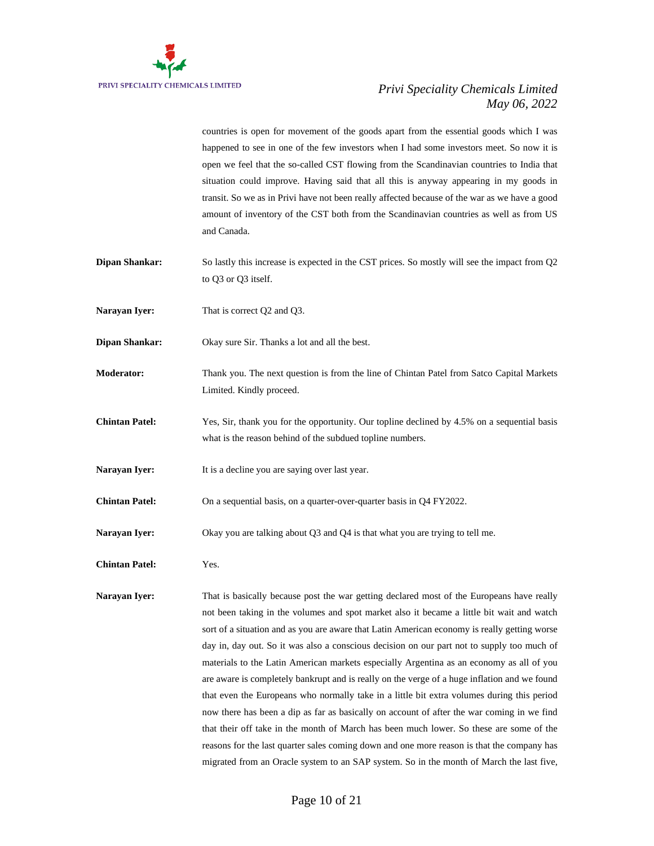

countries is open for movement of the goods apart from the essential goods which I was happened to see in one of the few investors when I had some investors meet. So now it is open we feel that the so-called CST flowing from the Scandinavian countries to India that situation could improve. Having said that all this is anyway appearing in my goods in transit. So we as in Privi have not been really affected because of the war as we have a good amount of inventory of the CST both from the Scandinavian countries as well as from US and Canada.

- **Dipan Shankar:** So lastly this increase is expected in the CST prices. So mostly will see the impact from Q2 to Q3 or Q3 itself.
- **Narayan Iyer:** That is correct Q2 and Q3.
- **Dipan Shankar:** Okay sure Sir. Thanks a lot and all the best.
- **Moderator:** Thank you. The next question is from the line of Chintan Patel from Satco Capital Markets Limited. Kindly proceed.
- **Chintan Patel:** Yes, Sir, thank you for the opportunity. Our topline declined by 4.5% on a sequential basis what is the reason behind of the subdued topline numbers.
- **Narayan Iyer:** It is a decline you are saying over last year.
- **Chintan Patel:** On a sequential basis, on a quarter-over-quarter basis in Q4 FY2022.
- **Narayan Iyer:** Okay you are talking about Q3 and Q4 is that what you are trying to tell me.
- **Chintan Patel:** Yes.

**Narayan Iyer:** That is basically because post the war getting declared most of the Europeans have really not been taking in the volumes and spot market also it became a little bit wait and watch sort of a situation and as you are aware that Latin American economy is really getting worse day in, day out. So it was also a conscious decision on our part not to supply too much of materials to the Latin American markets especially Argentina as an economy as all of you are aware is completely bankrupt and is really on the verge of a huge inflation and we found that even the Europeans who normally take in a little bit extra volumes during this period now there has been a dip as far as basically on account of after the war coming in we find that their off take in the month of March has been much lower. So these are some of the reasons for the last quarter sales coming down and one more reason is that the company has migrated from an Oracle system to an SAP system. So in the month of March the last five,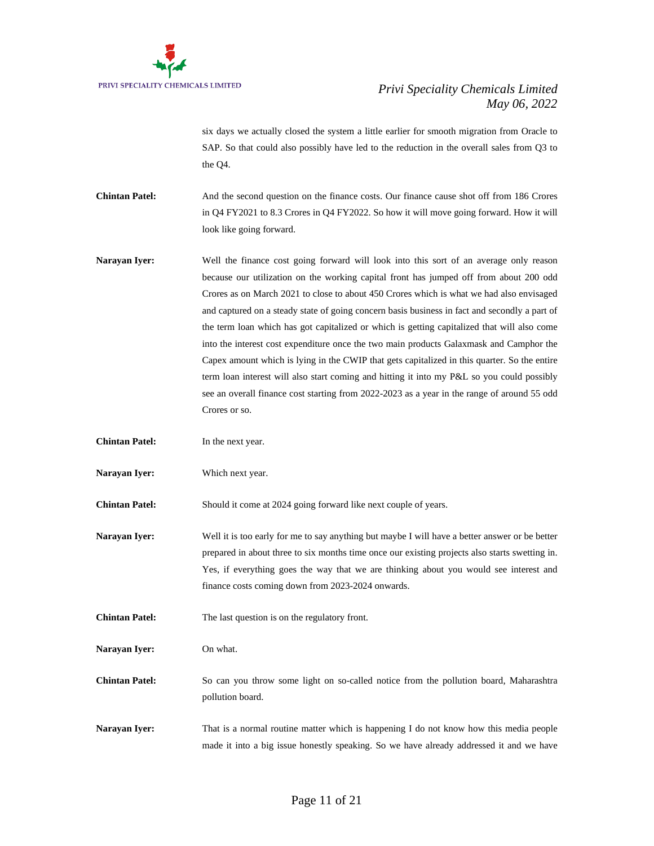

six days we actually closed the system a little earlier for smooth migration from Oracle to SAP. So that could also possibly have led to the reduction in the overall sales from Q3 to the Q4.

**Chintan Patel:** And the second question on the finance costs. Our finance cause shot off from 186 Crores in Q4 FY2021 to 8.3 Crores in Q4 FY2022. So how it will move going forward. How it will look like going forward.

- **Narayan Iyer:** Well the finance cost going forward will look into this sort of an average only reason because our utilization on the working capital front has jumped off from about 200 odd Crores as on March 2021 to close to about 450 Crores which is what we had also envisaged and captured on a steady state of going concern basis business in fact and secondly a part of the term loan which has got capitalized or which is getting capitalized that will also come into the interest cost expenditure once the two main products Galaxmask and Camphor the Capex amount which is lying in the CWIP that gets capitalized in this quarter. So the entire term loan interest will also start coming and hitting it into my P&L so you could possibly see an overall finance cost starting from 2022-2023 as a year in the range of around 55 odd Crores or so.
- **Chintan Patel:** In the next year.
- **Narayan Iyer:** Which next year.

**Chintan Patel:** Should it come at 2024 going forward like next couple of years.

**Narayan Iver:** Well it is too early for me to say anything but maybe I will have a better answer or be better prepared in about three to six months time once our existing projects also starts swetting in. Yes, if everything goes the way that we are thinking about you would see interest and finance costs coming down from 2023-2024 onwards.

**Chintan Patel:** The last question is on the regulatory front.

**Narayan Iyer:** On what.

**Chintan Patel:** So can you throw some light on so-called notice from the pollution board, Maharashtra pollution board.

**Narayan Iyer:** That is a normal routine matter which is happening I do not know how this media people made it into a big issue honestly speaking. So we have already addressed it and we have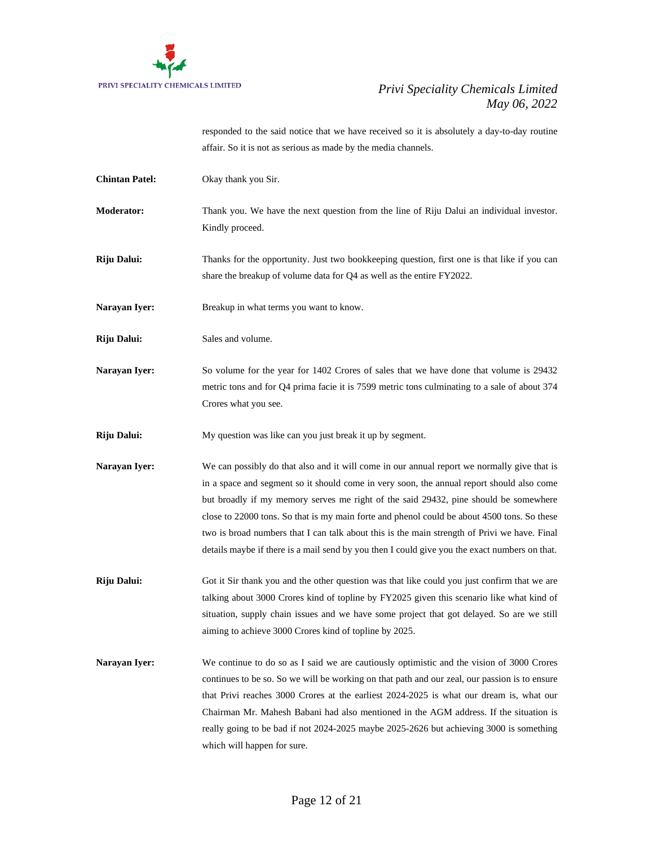

responded to the said notice that we have received so it is absolutely a day-to-day routine affair. So it is not as serious as made by the media channels.

| <b>Chintan Patel:</b> | Okay thank you Sir.                                                                                                                                                                                                                                                                                                                                                                                                                                                                                                                                                              |
|-----------------------|----------------------------------------------------------------------------------------------------------------------------------------------------------------------------------------------------------------------------------------------------------------------------------------------------------------------------------------------------------------------------------------------------------------------------------------------------------------------------------------------------------------------------------------------------------------------------------|
| <b>Moderator:</b>     | Thank you. We have the next question from the line of Riju Dalui an individual investor.<br>Kindly proceed.                                                                                                                                                                                                                                                                                                                                                                                                                                                                      |
| Riju Dalui:           | Thanks for the opportunity. Just two bookkeeping question, first one is that like if you can<br>share the breakup of volume data for Q4 as well as the entire FY2022.                                                                                                                                                                                                                                                                                                                                                                                                            |
| Narayan Iyer:         | Breakup in what terms you want to know.                                                                                                                                                                                                                                                                                                                                                                                                                                                                                                                                          |
| Riju Dalui:           | Sales and volume.                                                                                                                                                                                                                                                                                                                                                                                                                                                                                                                                                                |
| Narayan Iyer:         | So volume for the year for 1402 Crores of sales that we have done that volume is 29432<br>metric tons and for Q4 prima facie it is 7599 metric tons culminating to a sale of about 374<br>Crores what you see.                                                                                                                                                                                                                                                                                                                                                                   |
| Riju Dalui:           | My question was like can you just break it up by segment.                                                                                                                                                                                                                                                                                                                                                                                                                                                                                                                        |
| Narayan Iyer:         | We can possibly do that also and it will come in our annual report we normally give that is<br>in a space and segment so it should come in very soon, the annual report should also come<br>but broadly if my memory serves me right of the said 29432, pine should be somewhere<br>close to 22000 tons. So that is my main forte and phenol could be about 4500 tons. So these<br>two is broad numbers that I can talk about this is the main strength of Privi we have. Final<br>details maybe if there is a mail send by you then I could give you the exact numbers on that. |
| Riju Dalui:           | Got it Sir thank you and the other question was that like could you just confirm that we are<br>talking about 3000 Crores kind of topline by FY2025 given this scenario like what kind of<br>situation, supply chain issues and we have some project that got delayed. So are we still<br>aiming to achieve 3000 Crores kind of topline by 2025.                                                                                                                                                                                                                                 |
| Narayan Iyer:         | We continue to do so as I said we are cautiously optimistic and the vision of 3000 Crores<br>continues to be so. So we will be working on that path and our zeal, our passion is to ensure<br>that Privi reaches 3000 Crores at the earliest 2024-2025 is what our dream is, what our<br>Chairman Mr. Mahesh Babani had also mentioned in the AGM address. If the situation is<br>really going to be bad if not 2024-2025 maybe 2025-2626 but achieving 3000 is something<br>which will happen for sure.                                                                         |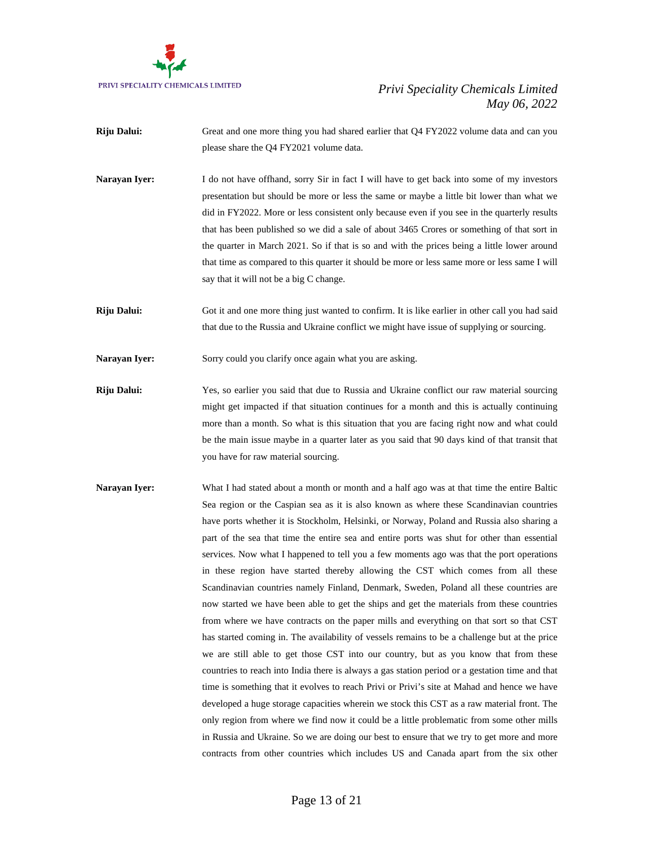

- **Riju Dalui:** Great and one more thing you had shared earlier that Q4 FY2022 volume data and can you please share the Q4 FY2021 volume data.
- **Narayan Iyer:** I do not have offhand, sorry Sir in fact I will have to get back into some of my investors presentation but should be more or less the same or maybe a little bit lower than what we did in FY2022. More or less consistent only because even if you see in the quarterly results that has been published so we did a sale of about 3465 Crores or something of that sort in the quarter in March 2021. So if that is so and with the prices being a little lower around that time as compared to this quarter it should be more or less same more or less same I will say that it will not be a big C change.
- **Riju Dalui:** Got it and one more thing just wanted to confirm. It is like earlier in other call you had said that due to the Russia and Ukraine conflict we might have issue of supplying or sourcing.

Narayan Iyer: Sorry could you clarify once again what you are asking.

- **Riju Dalui:** Yes, so earlier you said that due to Russia and Ukraine conflict our raw material sourcing might get impacted if that situation continues for a month and this is actually continuing more than a month. So what is this situation that you are facing right now and what could be the main issue maybe in a quarter later as you said that 90 days kind of that transit that you have for raw material sourcing.
- Narayan Iyer: What I had stated about a month or month and a half ago was at that time the entire Baltic Sea region or the Caspian sea as it is also known as where these Scandinavian countries have ports whether it is Stockholm, Helsinki, or Norway, Poland and Russia also sharing a part of the sea that time the entire sea and entire ports was shut for other than essential services. Now what I happened to tell you a few moments ago was that the port operations in these region have started thereby allowing the CST which comes from all these Scandinavian countries namely Finland, Denmark, Sweden, Poland all these countries are now started we have been able to get the ships and get the materials from these countries from where we have contracts on the paper mills and everything on that sort so that CST has started coming in. The availability of vessels remains to be a challenge but at the price we are still able to get those CST into our country, but as you know that from these countries to reach into India there is always a gas station period or a gestation time and that time is something that it evolves to reach Privi or Privi's site at Mahad and hence we have developed a huge storage capacities wherein we stock this CST as a raw material front. The only region from where we find now it could be a little problematic from some other mills in Russia and Ukraine. So we are doing our best to ensure that we try to get more and more contracts from other countries which includes US and Canada apart from the six other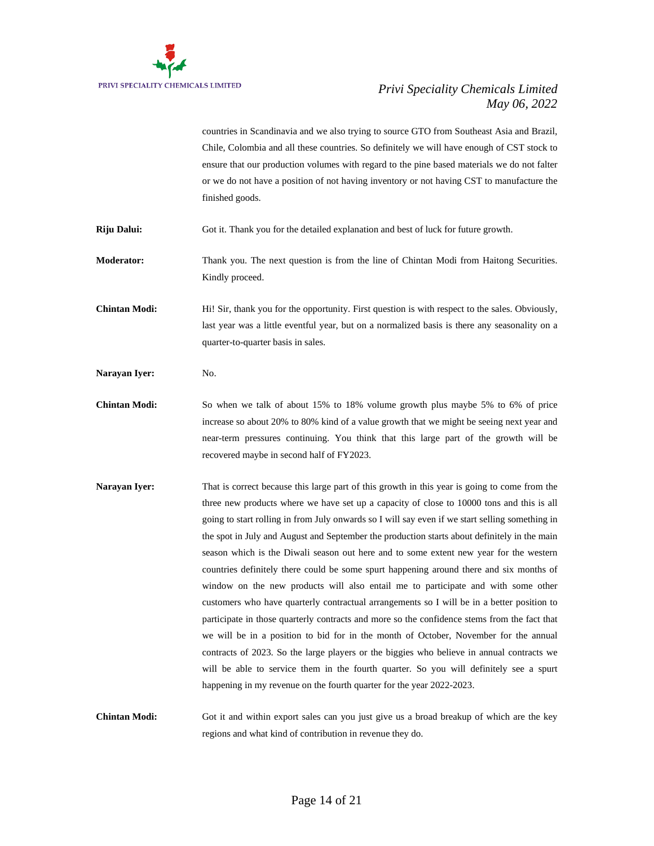

countries in Scandinavia and we also trying to source GTO from Southeast Asia and Brazil, Chile, Colombia and all these countries. So definitely we will have enough of CST stock to ensure that our production volumes with regard to the pine based materials we do not falter or we do not have a position of not having inventory or not having CST to manufacture the finished goods.

**Riju Dalui:** Got it. Thank you for the detailed explanation and best of luck for future growth.

**Moderator:** Thank you. The next question is from the line of Chintan Modi from Haitong Securities. Kindly proceed.

**Chintan Modi:** Hi! Sir, thank you for the opportunity. First question is with respect to the sales. Obviously, last year was a little eventful year, but on a normalized basis is there any seasonality on a quarter-to-quarter basis in sales.

Narayan Iyer: No.

- **Chintan Modi:** So when we talk of about 15% to 18% volume growth plus maybe 5% to 6% of price increase so about 20% to 80% kind of a value growth that we might be seeing next year and near-term pressures continuing. You think that this large part of the growth will be recovered maybe in second half of FY2023.
- **Narayan Iyer:** That is correct because this large part of this growth in this year is going to come from the three new products where we have set up a capacity of close to 10000 tons and this is all going to start rolling in from July onwards so I will say even if we start selling something in the spot in July and August and September the production starts about definitely in the main season which is the Diwali season out here and to some extent new year for the western countries definitely there could be some spurt happening around there and six months of window on the new products will also entail me to participate and with some other customers who have quarterly contractual arrangements so I will be in a better position to participate in those quarterly contracts and more so the confidence stems from the fact that we will be in a position to bid for in the month of October, November for the annual contracts of 2023. So the large players or the biggies who believe in annual contracts we will be able to service them in the fourth quarter. So you will definitely see a spurt happening in my revenue on the fourth quarter for the year 2022-2023.

**Chintan Modi:** Got it and within export sales can you just give us a broad breakup of which are the key regions and what kind of contribution in revenue they do.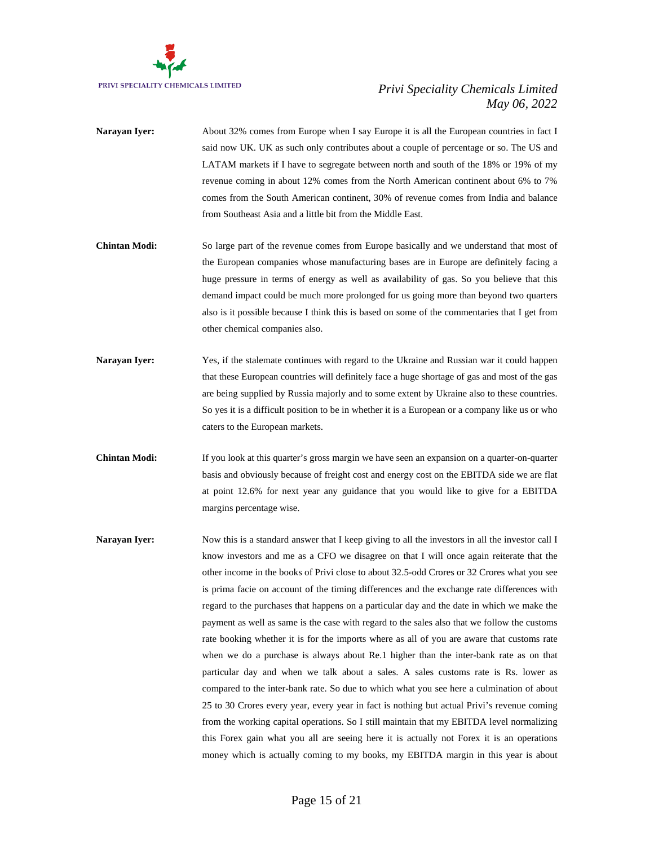

- **Narayan Iyer:** About 32% comes from Europe when I say Europe it is all the European countries in fact I said now UK. UK as such only contributes about a couple of percentage or so. The US and LATAM markets if I have to segregate between north and south of the 18% or 19% of my revenue coming in about 12% comes from the North American continent about 6% to 7% comes from the South American continent, 30% of revenue comes from India and balance from Southeast Asia and a little bit from the Middle East.
- **Chintan Modi:** So large part of the revenue comes from Europe basically and we understand that most of the European companies whose manufacturing bases are in Europe are definitely facing a huge pressure in terms of energy as well as availability of gas. So you believe that this demand impact could be much more prolonged for us going more than beyond two quarters also is it possible because I think this is based on some of the commentaries that I get from other chemical companies also.
- **Narayan Iyer:** Yes, if the stalemate continues with regard to the Ukraine and Russian war it could happen that these European countries will definitely face a huge shortage of gas and most of the gas are being supplied by Russia majorly and to some extent by Ukraine also to these countries. So yes it is a difficult position to be in whether it is a European or a company like us or who caters to the European markets.
- **Chintan Modi:** If you look at this quarter's gross margin we have seen an expansion on a quarter-on-quarter basis and obviously because of freight cost and energy cost on the EBITDA side we are flat at point 12.6% for next year any guidance that you would like to give for a EBITDA margins percentage wise.
- **Narayan Iyer:** Now this is a standard answer that I keep giving to all the investors in all the investor call I know investors and me as a CFO we disagree on that I will once again reiterate that the other income in the books of Privi close to about 32.5-odd Crores or 32 Crores what you see is prima facie on account of the timing differences and the exchange rate differences with regard to the purchases that happens on a particular day and the date in which we make the payment as well as same is the case with regard to the sales also that we follow the customs rate booking whether it is for the imports where as all of you are aware that customs rate when we do a purchase is always about Re.1 higher than the inter-bank rate as on that particular day and when we talk about a sales. A sales customs rate is Rs. lower as compared to the inter-bank rate. So due to which what you see here a culmination of about 25 to 30 Crores every year, every year in fact is nothing but actual Privi's revenue coming from the working capital operations. So I still maintain that my EBITDA level normalizing this Forex gain what you all are seeing here it is actually not Forex it is an operations money which is actually coming to my books, my EBITDA margin in this year is about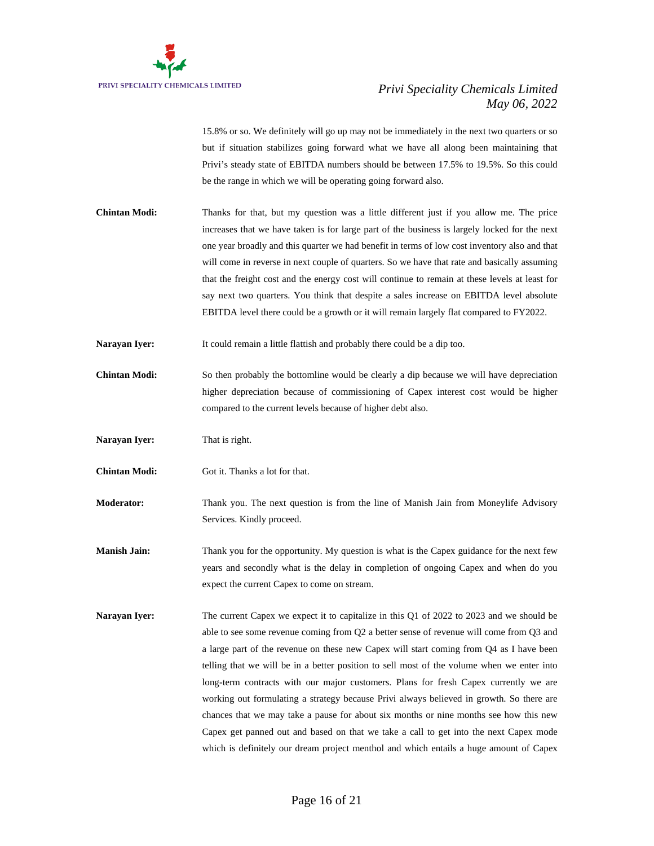

15.8% or so. We definitely will go up may not be immediately in the next two quarters or so but if situation stabilizes going forward what we have all along been maintaining that Privi's steady state of EBITDA numbers should be between 17.5% to 19.5%. So this could be the range in which we will be operating going forward also.

- **Chintan Modi:** Thanks for that, but my question was a little different just if you allow me. The price increases that we have taken is for large part of the business is largely locked for the next one year broadly and this quarter we had benefit in terms of low cost inventory also and that will come in reverse in next couple of quarters. So we have that rate and basically assuming that the freight cost and the energy cost will continue to remain at these levels at least for say next two quarters. You think that despite a sales increase on EBITDA level absolute EBITDA level there could be a growth or it will remain largely flat compared to FY2022.
- **Narayan Iyer:** It could remain a little flattish and probably there could be a dip too.
- **Chintan Modi:** So then probably the bottomline would be clearly a dip because we will have depreciation higher depreciation because of commissioning of Capex interest cost would be higher compared to the current levels because of higher debt also.
- **Narayan Iyer:** That is right.
- **Chintan Modi:** Got it. Thanks a lot for that.
- **Moderator:** Thank you. The next question is from the line of Manish Jain from Moneylife Advisory Services. Kindly proceed.
- **Manish Jain:** Thank you for the opportunity. My question is what is the Capex guidance for the next few years and secondly what is the delay in completion of ongoing Capex and when do you expect the current Capex to come on stream.
- **Narayan Iyer:** The current Capex we expect it to capitalize in this Q1 of 2022 to 2023 and we should be able to see some revenue coming from Q2 a better sense of revenue will come from Q3 and a large part of the revenue on these new Capex will start coming from Q4 as I have been telling that we will be in a better position to sell most of the volume when we enter into long-term contracts with our major customers. Plans for fresh Capex currently we are working out formulating a strategy because Privi always believed in growth. So there are chances that we may take a pause for about six months or nine months see how this new Capex get panned out and based on that we take a call to get into the next Capex mode which is definitely our dream project menthol and which entails a huge amount of Capex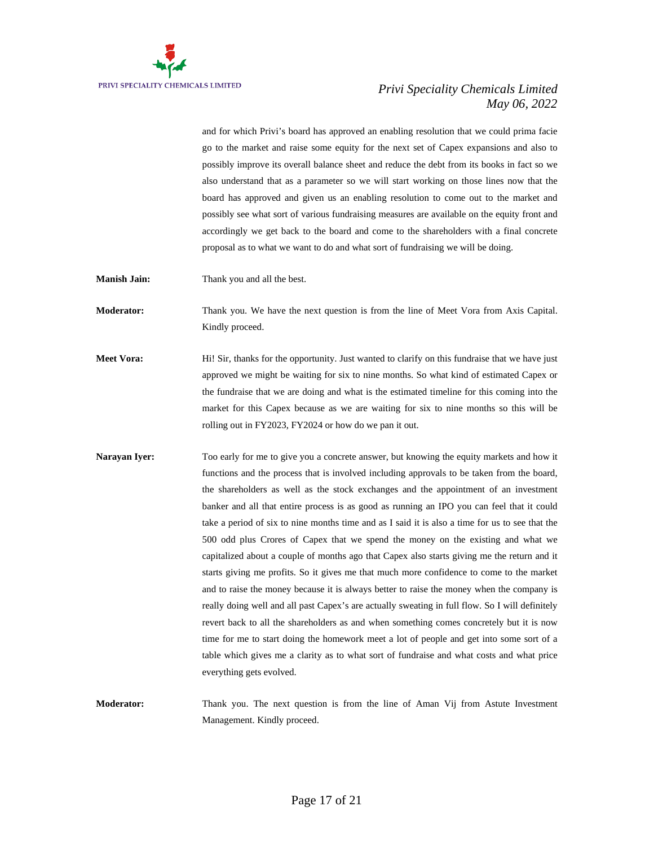

and for which Privi's board has approved an enabling resolution that we could prima facie go to the market and raise some equity for the next set of Capex expansions and also to possibly improve its overall balance sheet and reduce the debt from its books in fact so we also understand that as a parameter so we will start working on those lines now that the board has approved and given us an enabling resolution to come out to the market and possibly see what sort of various fundraising measures are available on the equity front and accordingly we get back to the board and come to the shareholders with a final concrete proposal as to what we want to do and what sort of fundraising we will be doing.

**Manish Jain:** Thank you and all the best.

**Moderator:** Thank you. We have the next question is from the line of Meet Vora from Axis Capital. Kindly proceed.

- **Meet Vora:** Hi! Sir, thanks for the opportunity. Just wanted to clarify on this fundraise that we have just approved we might be waiting for six to nine months. So what kind of estimated Capex or the fundraise that we are doing and what is the estimated timeline for this coming into the market for this Capex because as we are waiting for six to nine months so this will be rolling out in FY2023, FY2024 or how do we pan it out.
- **Narayan Iyer:** Too early for me to give you a concrete answer, but knowing the equity markets and how it functions and the process that is involved including approvals to be taken from the board, the shareholders as well as the stock exchanges and the appointment of an investment banker and all that entire process is as good as running an IPO you can feel that it could take a period of six to nine months time and as I said it is also a time for us to see that the 500 odd plus Crores of Capex that we spend the money on the existing and what we capitalized about a couple of months ago that Capex also starts giving me the return and it starts giving me profits. So it gives me that much more confidence to come to the market and to raise the money because it is always better to raise the money when the company is really doing well and all past Capex's are actually sweating in full flow. So I will definitely revert back to all the shareholders as and when something comes concretely but it is now time for me to start doing the homework meet a lot of people and get into some sort of a table which gives me a clarity as to what sort of fundraise and what costs and what price everything gets evolved.

**Moderator:** Thank you. The next question is from the line of Aman Vij from Astute Investment Management. Kindly proceed.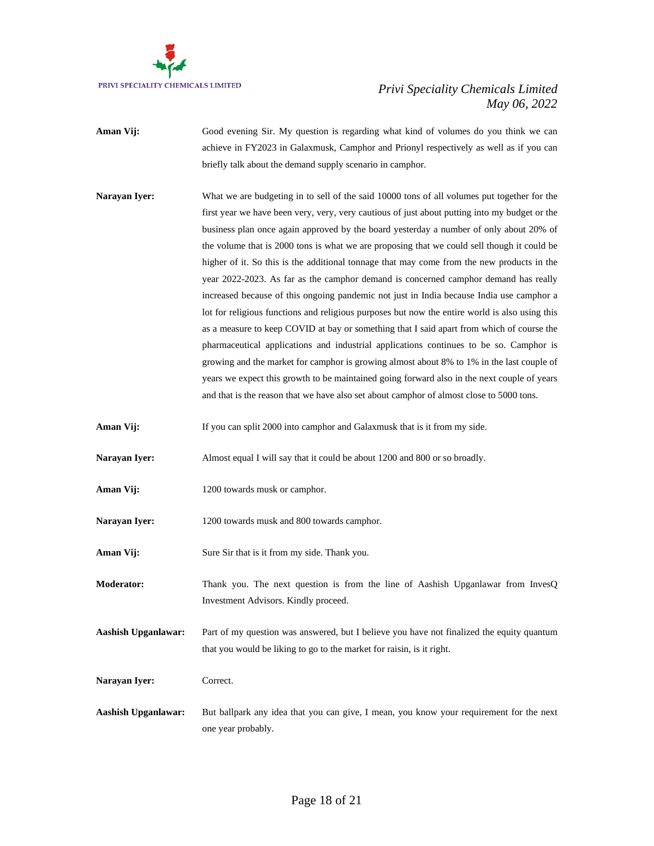

- **Aman Vij:** Good evening Sir. My question is regarding what kind of volumes do you think we can achieve in FY2023 in Galaxmusk, Camphor and Prionyl respectively as well as if you can briefly talk about the demand supply scenario in camphor.
- **Narayan Iyer:** What we are budgeting in to sell of the said 10000 tons of all volumes put together for the first year we have been very, very, very cautious of just about putting into my budget or the business plan once again approved by the board yesterday a number of only about 20% of the volume that is 2000 tons is what we are proposing that we could sell though it could be higher of it. So this is the additional tonnage that may come from the new products in the year 2022-2023. As far as the camphor demand is concerned camphor demand has really increased because of this ongoing pandemic not just in India because India use camphor a lot for religious functions and religious purposes but now the entire world is also using this as a measure to keep COVID at bay or something that I said apart from which of course the pharmaceutical applications and industrial applications continues to be so. Camphor is growing and the market for camphor is growing almost about 8% to 1% in the last couple of years we expect this growth to be maintained going forward also in the next couple of years and that is the reason that we have also set about camphor of almost close to 5000 tons.
- **Aman Vij:** If you can split 2000 into camphor and Galaxmusk that is it from my side.
- **Narayan Iyer:** Almost equal I will say that it could be about 1200 and 800 or so broadly.
- **Aman Vij:** 1200 towards musk or camphor.
- Narayan Iyer: 1200 towards musk and 800 towards camphor.
- Aman Vij: Sure Sir that is it from my side. Thank you.
- **Moderator:** Thank you. The next question is from the line of Aashish Upganlawar from InvesQ Investment Advisors. Kindly proceed.
- **Aashish Upganlawar:** Part of my question was answered, but I believe you have not finalized the equity quantum that you would be liking to go to the market for raisin, is it right.
- Narayan Iver: Correct.
- **Aashish Upganlawar:** But ballpark any idea that you can give, I mean, you know your requirement for the next one year probably.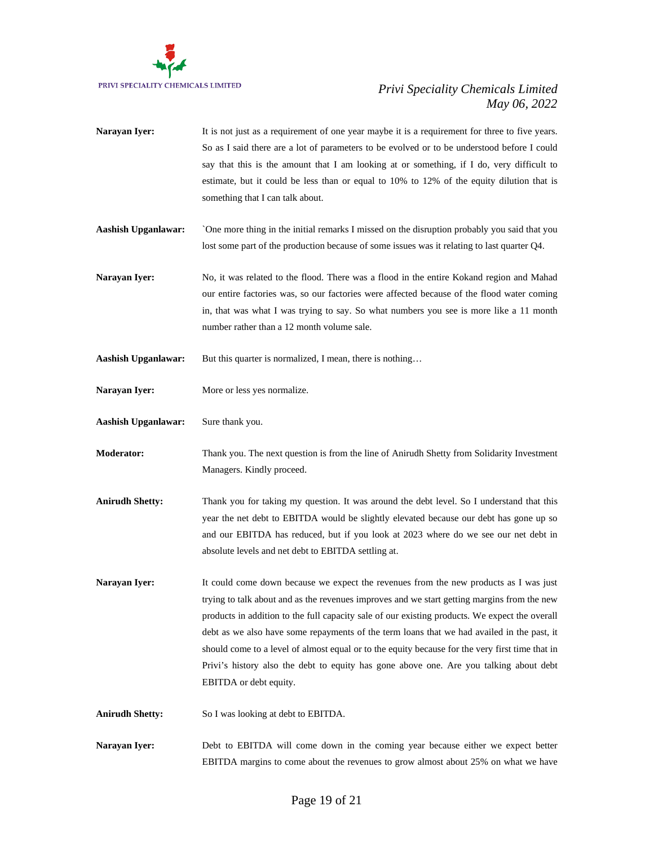

- **Narayan Iyer:** It is not just as a requirement of one year maybe it is a requirement for three to five years. So as I said there are a lot of parameters to be evolved or to be understood before I could say that this is the amount that I am looking at or something, if I do, very difficult to estimate, but it could be less than or equal to 10% to 12% of the equity dilution that is something that I can talk about.
- **Aashish Upganlawar:** `One more thing in the initial remarks I missed on the disruption probably you said that you lost some part of the production because of some issues was it relating to last quarter Q4.
- Narayan Iyer: No, it was related to the flood. There was a flood in the entire Kokand region and Mahad our entire factories was, so our factories were affected because of the flood water coming in, that was what I was trying to say. So what numbers you see is more like a 11 month number rather than a 12 month volume sale.
- Aashish Upganlawar: But this quarter is normalized, I mean, there is nothing...
- Narayan Iyer: More or less yes normalize.
- **Aashish Upganlawar:** Sure thank you.
- **Moderator:** Thank you. The next question is from the line of Anirudh Shetty from Solidarity Investment Managers. Kindly proceed.
- **Anirudh Shetty:** Thank you for taking my question. It was around the debt level. So I understand that this year the net debt to EBITDA would be slightly elevated because our debt has gone up so and our EBITDA has reduced, but if you look at 2023 where do we see our net debt in absolute levels and net debt to EBITDA settling at.
- **Narayan Iyer:** It could come down because we expect the revenues from the new products as I was just trying to talk about and as the revenues improves and we start getting margins from the new products in addition to the full capacity sale of our existing products. We expect the overall debt as we also have some repayments of the term loans that we had availed in the past, it should come to a level of almost equal or to the equity because for the very first time that in Privi's history also the debt to equity has gone above one. Are you talking about debt EBITDA or debt equity.
- **Anirudh Shetty:** So I was looking at debt to EBITDA.
- **Narayan Iyer:** Debt to EBITDA will come down in the coming year because either we expect better EBITDA margins to come about the revenues to grow almost about 25% on what we have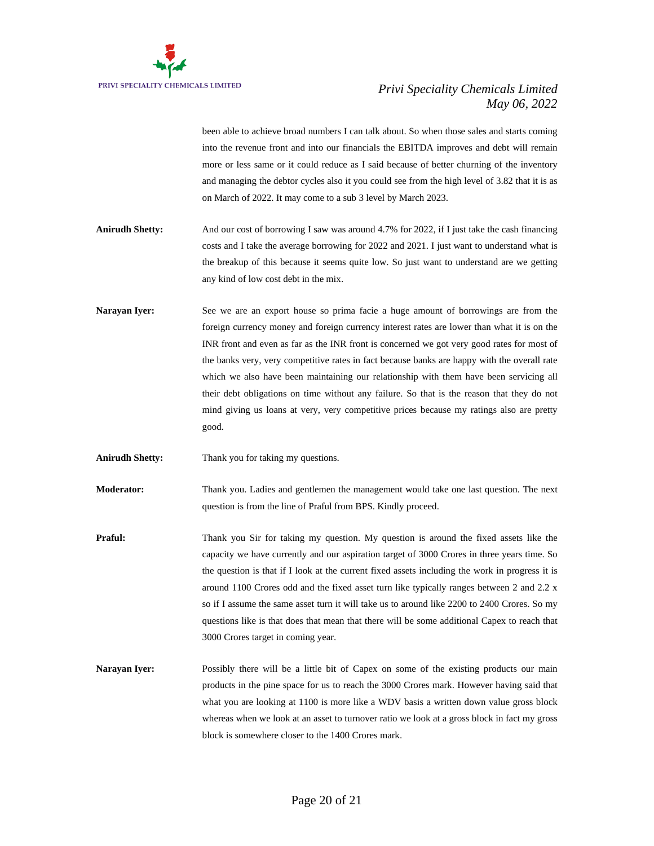

been able to achieve broad numbers I can talk about. So when those sales and starts coming into the revenue front and into our financials the EBITDA improves and debt will remain more or less same or it could reduce as I said because of better churning of the inventory and managing the debtor cycles also it you could see from the high level of 3.82 that it is as on March of 2022. It may come to a sub 3 level by March 2023.

- **Anirudh Shetty:** And our cost of borrowing I saw was around 4.7% for 2022, if I just take the cash financing costs and I take the average borrowing for 2022 and 2021. I just want to understand what is the breakup of this because it seems quite low. So just want to understand are we getting any kind of low cost debt in the mix.
- Narayan Iyer: See we are an export house so prima facie a huge amount of borrowings are from the foreign currency money and foreign currency interest rates are lower than what it is on the INR front and even as far as the INR front is concerned we got very good rates for most of the banks very, very competitive rates in fact because banks are happy with the overall rate which we also have been maintaining our relationship with them have been servicing all their debt obligations on time without any failure. So that is the reason that they do not mind giving us loans at very, very competitive prices because my ratings also are pretty good.
- **Anirudh Shetty:** Thank you for taking my questions.

**Moderator:** Thank you. Ladies and gentlemen the management would take one last question. The next question is from the line of Praful from BPS. Kindly proceed.

- **Praful:** Thank you Sir for taking my question. My question is around the fixed assets like the capacity we have currently and our aspiration target of 3000 Crores in three years time. So the question is that if I look at the current fixed assets including the work in progress it is around 1100 Crores odd and the fixed asset turn like typically ranges between 2 and 2.2 x so if I assume the same asset turn it will take us to around like 2200 to 2400 Crores. So my questions like is that does that mean that there will be some additional Capex to reach that 3000 Crores target in coming year.
- Narayan Iyer: Possibly there will be a little bit of Capex on some of the existing products our main products in the pine space for us to reach the 3000 Crores mark. However having said that what you are looking at 1100 is more like a WDV basis a written down value gross block whereas when we look at an asset to turnover ratio we look at a gross block in fact my gross block is somewhere closer to the 1400 Crores mark.